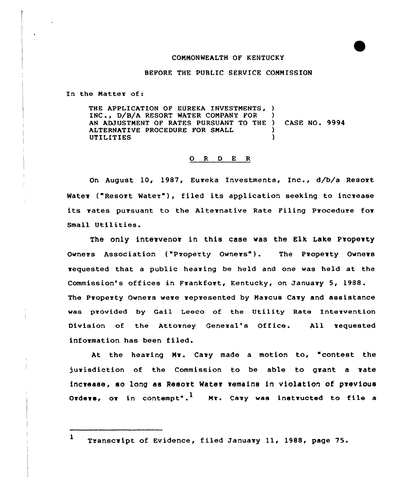# CONMONWEALTH OF KENTUCKY

## BEFORE THE PUBLIC SERVICE COMMISSION

In the Matter of:

THE APPLICATION OF EUREKA INVESTMENTS, ) INC., D/B/A RESORT WATER COMPANY FOR AN ADJUSTMENT OF RATES PURSUANT TO THE ) CASE NO. 9994 ALTERNATIVE PROCEDURE FOR SMALL **UTILITIES** 

#### O R D E R

On August 10, 1987, Eureka Investments, Inc., d/b/a Resort Water ("Resort Water"), filed its application seeking to increase its rates pursuant to the Alternative Rate Filing Procedure for Small Utilities.

The only intervenor in this case was the Elk Lake Property Owners Association ("Property Owners"). The Property Owners zequested that a public heaving be held and one was held at the Commission's offices in Fvankfovt, Kentucky, on January 5, 1988. The Property Owners were represented by Marcus Cary and assistance was provided by Gail Leeco of the Utility Rate Intervention Division of the Attorney General's Office. All vequested information has been filed.

At the hearing Mr. Cary made a motion to, "contest the jurisdiction of the Commission to be able to grant a rate increase, so long as Resort Mater remains in violation of pzevious Orders, or in contempt".<sup>1</sup> Mr. Cary was instructed to file a

<sup>1</sup> Transcvipt of Evidence, filed January ll, 1988, page 75.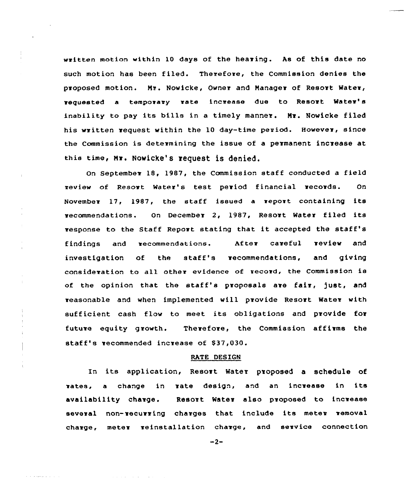written motion within 10 days of the hearing. As of this date no such motion has been filed. Therefore, the Commission denies the proposed motion. Nr. Nowicke, Owner and Nanagev of Resovt Water, vequested a temporary rate increase due to Resort Watev's inability to pay its bills in a timely manner. Mr. Nowicke filed his written vequest within the 10 day-time period. However, since the Commission is detezmining the issue of a permanent increase at this time, Mr. Nowicke's request is denied.

On September 18, 1987, the Commission staff conducted a field review of Resort Water's test period financial vecovds. On November 17, 1987, the staff issued <sup>a</sup> report containing its recommendations. On December 2, 1987, Resort Water filed its response to the Staff Repovt stating that it accepted the staff's findings and recommendations. Af ter caveful review and investigation of the staff's vecommendations, and giving consideration to all othev evidence of record, the Commission is of the opinion that the staff's proposals are fair, just, and reasonable and when implemented will provide Resort Water with sufficient cash flow to meet its obligations and provide fov future equity growth. Therefore, the Commission affirms the staff's recommended increase of \$37,030.

#### RATE DESIGN

In its application, Resort Water proposed a schedule of rates, <sup>a</sup> change in vate design, and an incvease in its availability chavge, Resort Water also pvoposed to increase several non-recurring charges that include its meter removal charge, meter veinstallation charge, and service connection

 $-2-$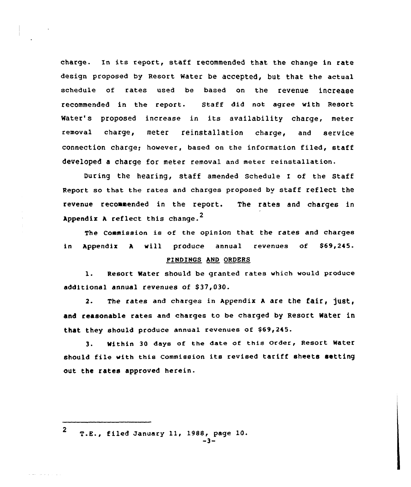charge. In its report, staff recommended that the change in rate design proposed by Resort Water be accepted, but that the actual schedule of rates used be based on the revenue increase recommended in the report. Staff did not agree with Resort Water's proposed increase in its availability charge, meter removal charge, meter reinstallation charge, and service connection charge; however, based on the information filed, staff developed a charge for meter removal and meter reinstallation.

During the hearing, staff amended schedule I of the staff Report so that the rates and charges proposed by staff reflect the revenue recommended in the report. The rates and charges in Appendix  $A$  reflect this change.<sup>2</sup>

The Commission is of the opinion that the rates and charges in Appendix <sup>h</sup> will produce annual revenues of \$69,245.

#### FINDINGS AND ORDERS

1. Resort water should be granted rates which would produce additional annual revenues of \$37,030.

2. The rates and charges in Appendix A are the fair, just, and reasonab1e rates and charges to be charged by Resort Water in that they should produce annual revenues of \$69,245.

3. Within <sup>30</sup> days of the date of this Order, Resort Water should file with this Commission its revised tariff sheets setting out the rates approved herein.

<sup>2</sup> T.E., filed January 11, 1988, page 10.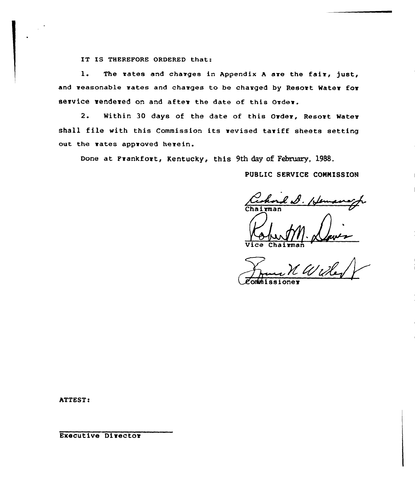IT IS THEREFORE ORDERED that:

l. The rates and charges in Appendix <sup>A</sup> are the faiv, just,, and reasonable rates and charges to be charged by Resort Water for service rendered on and after the date of this Order.

2. Within 30 days of the date of this Order, Resort Water shall file with this Commission its revised tariff sheets setting out the vates approved herein.

Done at Frankfort, Kentucky, this 9th day of February, 1988.

PUBLIC SERVICE CONNISSION

*Cechord S. Hen*<br>Chairman

Vice Chairma

omunissione

ATTEST:

Executive Director